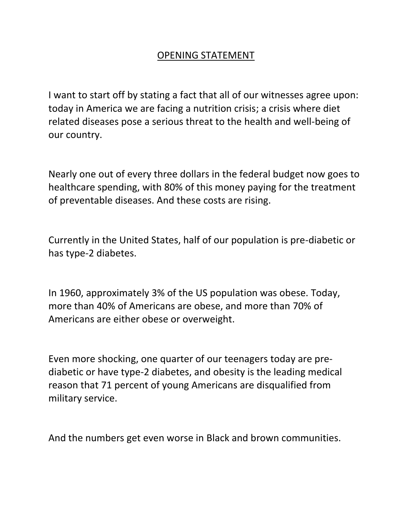## OPENING STATEMENT

I want to start off by stating a fact that all of our witnesses agree upon: today in America we are facing a nutrition crisis; a crisis where diet related diseases pose a serious threat to the health and well-being of our country.

Nearly one out of every three dollars in the federal budget now goes to healthcare spending, with 80% of this money paying for the treatment of preventable diseases. And these costs are rising.

Currently in the United States, half of our population is pre-diabetic or has type-2 diabetes.

In 1960, approximately 3% of the US population was obese. Today, more than 40% of Americans are obese, and more than 70% of Americans are either obese or overweight.

Even more shocking, one quarter of our teenagers today are prediabetic or have type-2 diabetes, and obesity is the leading medical reason that 71 percent of young Americans are disqualified from military service.

And the numbers get even worse in Black and brown communities.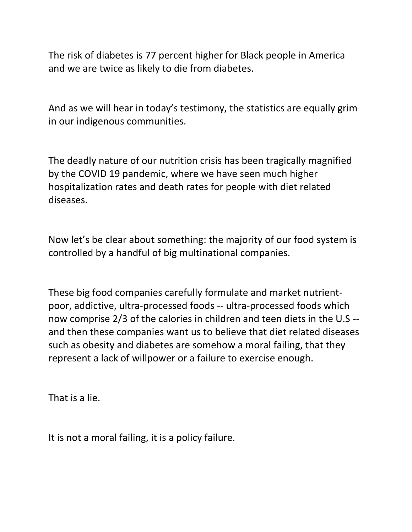The risk of diabetes is 77 percent higher for Black people in America and we are twice as likely to die from diabetes.

And as we will hear in today's testimony, the statistics are equally grim in our indigenous communities.

The deadly nature of our nutrition crisis has been tragically magnified by the COVID 19 pandemic, where we have seen much higher hospitalization rates and death rates for people with diet related diseases.

Now let's be clear about something: the majority of our food system is controlled by a handful of big multinational companies.

These big food companies carefully formulate and market nutrientpoor, addictive, ultra-processed foods -- ultra-processed foods which now comprise 2/3 of the calories in children and teen diets in the U.S - and then these companies want us to believe that diet related diseases such as obesity and diabetes are somehow a moral failing, that they represent a lack of willpower or a failure to exercise enough.

That is a lie.

It is not a moral failing, it is a policy failure.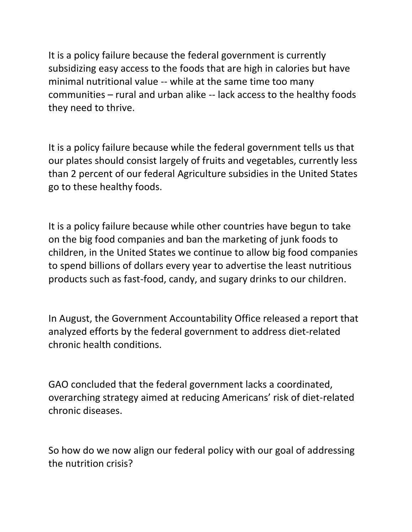It is a policy failure because the federal government is currently subsidizing easy access to the foods that are high in calories but have minimal nutritional value -- while at the same time too many communities – rural and urban alike -- lack access to the healthy foods they need to thrive.

It is a policy failure because while the federal government tells us that our plates should consist largely of fruits and vegetables, currently less than 2 percent of our federal Agriculture subsidies in the United States go to these healthy foods.

It is a policy failure because while other countries have begun to take on the big food companies and ban the marketing of junk foods to children, in the United States we continue to allow big food companies to spend billions of dollars every year to advertise the least nutritious products such as fast-food, candy, and sugary drinks to our children.

In August, the Government Accountability Office released a report that analyzed efforts by the federal government to address diet-related chronic health conditions.

GAO concluded that the federal government lacks a coordinated, overarching strategy aimed at reducing Americans' risk of diet-related chronic diseases.

So how do we now align our federal policy with our goal of addressing the nutrition crisis?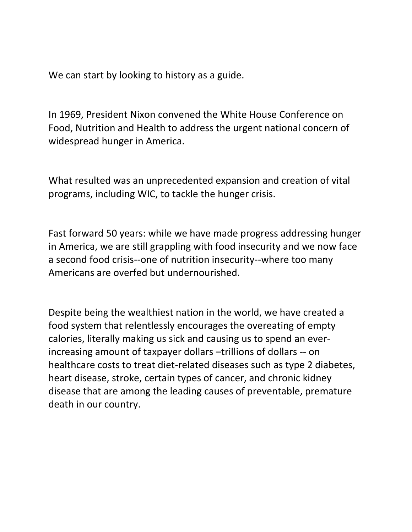We can start by looking to history as a guide.

In 1969, President Nixon convened the White House Conference on Food, Nutrition and Health to address the urgent national concern of widespread hunger in America.

What resulted was an unprecedented expansion and creation of vital programs, including WIC, to tackle the hunger crisis.

Fast forward 50 years: while we have made progress addressing hunger in America, we are still grappling with food insecurity and we now face a second food crisis--one of nutrition insecurity--where too many Americans are overfed but undernourished.

Despite being the wealthiest nation in the world, we have created a food system that relentlessly encourages the overeating of empty calories, literally making us sick and causing us to spend an everincreasing amount of taxpayer dollars -trillions of dollars -- on healthcare costs to treat diet-related diseases such as type 2 diabetes, heart disease, stroke, certain types of cancer, and chronic kidney disease that are among the leading causes of preventable, premature death in our country.